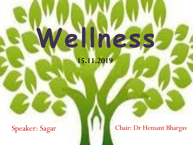# **Wellness**

**15.11.2019**

Speaker: Sagar **Chair: Dr Hemant Bhargav**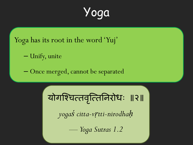Yoga

Yoga has its root in the word 'Yuj'

– Unify, unite

– Once merged, cannot be separated

योगश्चित्तवृत्तिनिरोधः ॥२॥

*yogaś citta-vṛtti-nirodhaḥ*

— *Yoga Sutras 1.2*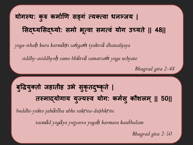## **योगस्थ: क ु रु कममाणि सङ्गं त्यक्तत्वम धनञ्जय | ससद्ध्यससद्ध्यो: समो भत्ू वम समत्वं योग उच्यते|| 48||**

*yoga-sthaḥ kuru karmāṇi saṅgaṁ tyaktvā dhanañjaya*

*siddhy-asiddhyoḥ samo bhūtvā samatvaṁ yoga uchyate*

*Bhagvad gita 2-48*

## **ब ु द्धिय ु क्ततो जहमतीह उभे सक ु ृतदष् ु क ृते| तस्ममद्धयोगमय य ु ज्यस्व योग: कमसा ु कौशऱम ्|| 50||**

*buddhi-yukto jahātīha ubhe sukṛita-duṣhkṛite*

*tasmād yogāya yujyasva yogaḥ karmasu kauśhalam*

*Bhagvad gita 2-50*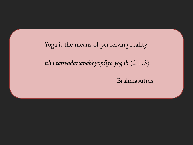Yoga is the means of perceiving reality'

*atha tattvadarsanabhyupāyo yogah* (2.1.3)

Brahmasutras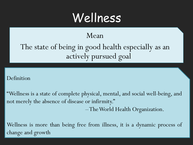## Wellness

#### Mean

The state of being in good health especially as an actively pursued goal

#### Definition

―Wellness is a state of complete physical, mental, and social well-being, and not merely the absence of disease or infirmity."

–TheWorld Health Organization.

Wellness is more than being free from illness, it is a dynamic process of change and growth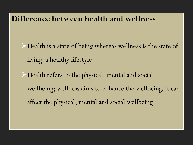#### **Difference between health and wellness**

Health is a state of being whereas wellness is the state of living a healthy lifestyle

Health refers to the physical, mental and social wellbeing; wellness aims to enhance the wellbeing. It can affect the physical, mental and social wellbeing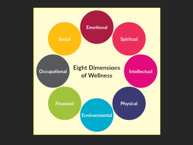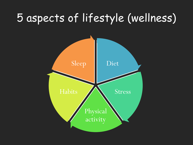## 5 aspects of lifestyle (wellness)

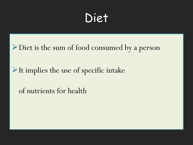## Diet

Diet is the sum of food consumed by a person

It implies the use of specific intake

of nutrients for health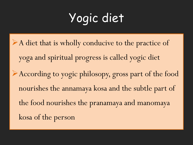# Yogic diet

A diet that is wholly conducive to the practice of yoga and spiritual progress is called yogic diet According to yogic philosopy, gross part of the food nourishes the annamaya kosa and the subtle part of the food nourishes the pranamaya and manomaya kosa of the person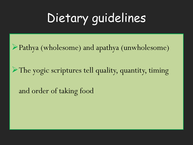# Dietary guidelines

Pathya (wholesome) and apathya (unwholesome)

The yogic scriptures tell quality, quantity, timing

and order of taking food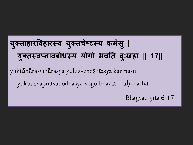## **य ु क्ततमहमरद्धवहमरस्य य ु क्ततचेष्टस्य कमसा ु| य ु क्ततस्वप्नमवबोधस्य योगो भवतत द: ुखहम || 17||**

yuktāhāra-vihārasya yukta-cheṣhṭasya karmasu

yukta-svapnāvabodhasya yogo bhavati duḥkha-hā

Bhagvad gita 6-17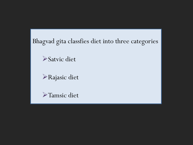#### Bhagvad gita classfies diet into three categories

Satvic diet

Rajasic diet

Tamsic diet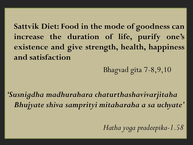**Sattvik Diet: Food in the mode of goodness can increase the duration of life, purify one's existence and give strength, health, happiness and satisfaction**

Bhagvad gita 7-8,9,10

*"Susnigdha madhurahara chaturthashavivarjitaha Bhujyate shiva samprityi mitaharaha a sa uchyate"*

*Hatha yoga pradeepika-1.58*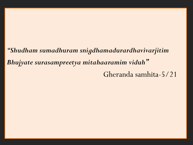## *"Shudham sumadhuram snigdhamadurardhavivarjitim Bhujyate surasampreetya mitahaaramim viduh"* Gheranda samhita-5/21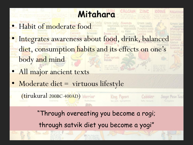- **Mitahara** • Habit of moderate food • Integrates awareness about food, drink, balanced diet, consumption habits and its effects on one's body and mind
- All major ancient texts

(tirukural 200BC-400AD)

Moderate diet = virtuous lifestyle

"Through overeating you become a rogi;

through satvik diet you become a yogi"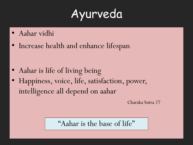# Ayurveda

- Aahar vidhi
- Increase health and enhance lifespan

- Aahar is life of living being
- Happiness, voice, life, satisfaction, power, intelligence all depend on aahar

Charaka Sutra 27

"Aahar is the base of life"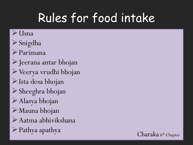# Rules for food intake

#### $\triangleright$  Usna

- Snigdha
- Parimana
- $\triangleright$  Jeerana antar bhojan
- Veerya vrudhi bhojan
- Ista desa bhojan
- Sheeghra bhojan
- Alasya bhojan
- Mauna bhojan
- Aatma abhivikshana
- $\triangleright$  Pathya apathya

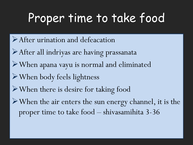# Proper time to take food

- After urination and defeacation
- After all indriyas are having prassanata
- When apana vayu is normal and eliminated
- When body feels lightness
- When there is desire for taking food
- When the air enters the sun energy channel, it is the proper time to take food – shivasamihita 3-36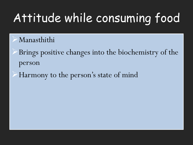# Attitude while consuming food

- Manasthithi
- Brings positive changes into the biochemistry of the person
- Harmony to the person's state of mind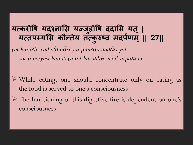### **यत्करोद्धष यदश्नमसस यज्जहु ोद्धष ददमसस यत ्| यत्तऩस्यसस कौन्तेय तत्क ु रुष्व मदऩिा म ्|| 27||**

*yat karoṣhi yad aśhnāsi yaj juhoṣhi dadāsi yat yat tapasyasi kaunteya tat kuruṣhva mad-arpaṇam*

- While eating, one should concentrate only on eating as the food is served to one's consciousness
- The functioning of this digestive fire is dependent on one's consciousness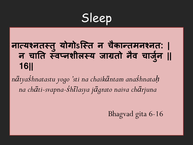Sleep

## **नमत्यश्नतस्तु योगोऽस्स्त न चकै मन्तमनश्नत: | न चमतत स्वप्नशीऱस्य जमग्रतो नैव चमज ु ना || 16||**

*nātyaśhnatastu yogo 'sti na chaikāntam anaśhnataḥ na chāti-svapna-śhīlasya jāgrato naiva chārjuna*

Bhagvad gita 6-16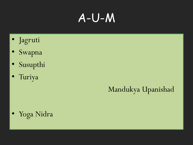## A-U-M

- Jagruti
- Swapna
- Susupthi
- Turiya

## Mandukya Upanishad

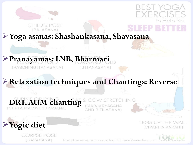

(BALASANA)

## BEST YOG. くく コン to Help You

**Yoga asanas: Shashankasana, Shavasana**

#### **Pranayamas: LNB, Bharmari** (PASCHIMOTTANASANA) *IUTTANASANA1*

#### **Relaxation techniques and Chantings: Reverse**

## **DRT, AUM chanting**

RPSE POSE

[SAVASANA]

**Yogic diet**

AND BITILASANA)

*IMARJARYASANA* 

**I FGS UP THE WA (VIPARITA KARANI)** 

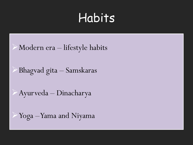## Habits

#### Modern era – lifestyle habits

Bhagvad gita – Samskaras

Ayurveda – Dinacharya

Yoga –Yama and Niyama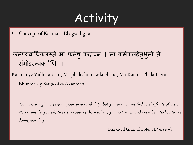## Activity

• Concept of Karma – Bhagvad gita

#### कर्मण्येवाधिकारस्ते मा फलेषु कदाचन । मा कर्मफलहेतुर्भुमो ते संगोऽस्त्वकर्मणि ॥

KarmanyeVadhikaraste, Ma phaleshou kada chana, Ma Karma Phala Hetur Bhurmatey Sangostva Akarmani

You have a right to perform your prescribed duty, but you are not entitled to the fruits of action. Never consider yourself to be the cause of the results of your activities, and never be attached to not *doing your duty.*

Bhagavad Gita, Chapter II, Verse 47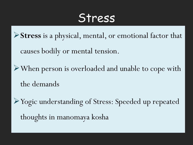## Stress

**Stress** is a physical, mental, or emotional factor that

causes bodily or mental tension.

When person is overloaded and unable to cope with the demands

Yogic understanding of Stress: Speeded up repeated thoughts in manomaya kosha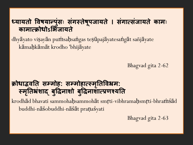#### **्यमयतो द्धवषयमन्ऩ ुंस् सगं स्तेष ू ऩजमयते । सगं मत्सजं मयते कमम् कमममत्रोधोऽसभजमयते**

dhyāyato viṣayān puṁsaḥsaṅgas teṣūpajāyatesaṅgāt sañjāyate kāmaḥkāmāt krodho 'bhijāyate

Bhagvad gita 2-62

#### क्रोधाद्भवति सम्मोह: सम्मोहार्त्स्मृतिविभ्रम: **स्मत ृतभ्रशं मद्ध ब ु द्धिनमशो बद्ध ुिनमशमत्रिश्यतत**

krodhād bhavati sammohaḥsammohāt smṛti-vibhramaḥsmṛti-bhraṁśād buddhi-nāśobuddhi-nāśāt praṇaśyati

Bhagvad gita 2-63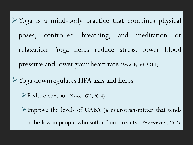Yoga is a mind-body practice that combines physical poses, controlled breathing, and meditation or relaxation. Yoga helps reduce stress, lower blood pressure and lower your heart rate (Woodyard 2011)

Yoga downregulates HPA axis and helps

Reduce cortisol (Naveen GH, 2014)

Improve the levels of GABA (a neurotransmitter that tends

to be low in people who suffer from anxiety) (Streeter et al, 2012)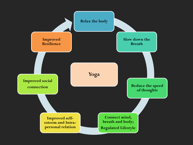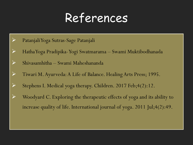## References

- PatanjaliYoga Sutras-Sage Patanjali
- HathaYoga Pradipika-Yogi Swatmarama Swami Muktibodhanada
- $\triangleright$  Shivasamhitha Swami Maheshananda
- Tiwari M. Ayurveda: A Life of Balance. Healing Arts Press; 1995.
- Stephens I. Medical yoga therapy. Children. 2017 Feb;  $4(2)$ : 12.
- $\triangleright$  Woodyard C. Exploring the therapeutic effects of yoga and its ability to increase quality of life. International journal of yoga. 2011 Jul;4(2):49.